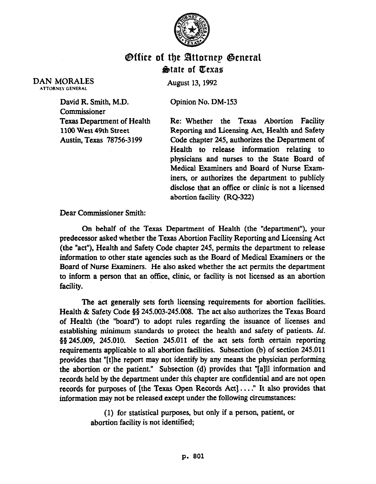

## Office of the Attorney General &tate of Qexae

August 13,1992

Opinion No. DM-153

Re: Whether the Texas Abortion Facility Reporting and Licensing Act, Health and Safety Code chapter 245, authorizes the Department of Health to release information relating to physicians and nurses to the State Board of Medical Examiners and Board of Nurse Bxaminers, or authorizes the department to publicly disclose that an office or clinic is not a licensed abortion facility (RQ-322)

Dear Commissioner Smith:

On behalf of the Texas Department of Health (the "department"), your predecessor asked whether the Texas Abortion Facility Reporting and Licensing Act (the "act"), Health and Safety Code chapter 245, permits the department to release information to other state agencies such as the Board of Medical Examiners or the Board of Nurse Examiners. He also asked whether the act permits the department to inform a person that an office, clinic, or facility is not licensed as an abortion facility.

The act generally sets forth licensing requirements for abortion facilities. Health & Safety Code \$5 245.003-245.008. The act also authorizes the Texas Board of Health (the "board") to adopt rules regarding the issuance of licenses and establishing minimum standards to protect the health and safety of patients. *Id.*  gg245.009, 245.010. Section 245.011 of the act sets forth certain reporting requirements applicable to all abortion facilities. Subsection (b) of section 245.011 provides that "[t]he report may not identify by any means the physician performing the abortion or the patient." Subsection (d) provides that "[a]11 information and records held by the department under this chapter are confidential and are not open records for purposes of [the Texas Open Records Act]. . . ." It also provides that information may not be released except under the following circumstances:

> (1) for statistical purposes, but only if a person, patient, or abortion facility is not identified;

DAN MORALES **ATTORNEY GENERAL** 

> David R. Smith, M.D. Commissioner Texas Department of Health 1100 West 49th Street Austin Texas 78756-3 199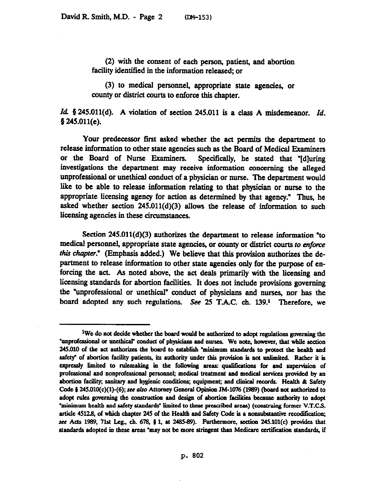(2) with the consent of each person, patient, and abortion facility identified in the information released; or

(3) to medical personnel, appropriate state agencies, or county or district courts to enforce this chapter.

Id 5245.011(d). A violation of section 245.011 is a class A misdemeanor. *Id.*   $$245.011(e).$ 

Your predecessor first asked whether the act permits the department to release information to other state agencies such as the Board of Medical Examiners or the Board of Nurse Examiners. Specifically, he stated that "[d]uring investigations the department may receive information concerning the alleged unprofessional or unethical conduct of a physician or muse. The department would like to be able to release information relating to that physician or nurse to the appropriate licensing agency for action as determined by that agency." Thus, he asked whether section 245.011(d)(3) allows the release of information to such licensing agencies in these circumstances.

Section  $245.011(d)(3)$  authorizes the department to release information "to medical personnel, appropriate state agencies, or county or district courts to enforce this chapter." (Emphasis added.) We believe that this provision authorizes the department to release information to other state agencies only for the purpose of enforcing the act. As noted above, the act deals primarily with the licensing and licensing standards for abortion facilities. It does not include provisions governing the "unprofessional or unethical" conduct of physicians and nurses, nor has the board adopted any such regulations. See 25 T.A.C. ch. 139.' Therefore, we

<sup>&</sup>lt;sup>1</sup>We do not decide whether the board would be authorized to adopt regulations governing the "unprofessional or unethical" conduct of physicians and nurses. We note, however, that while section 245.010 of the act authorizes the board to establish "minimum standards to protect the health and safety" of abortion facility patients, its authority under this provision is not unlimited. Rather it is expressly limited to rulemaking in the following areas: qualifications for and supervision of professional and nonprofessional personnel; medical treatment and medical services provided by an abortion facility; sanitary and hygienic conditions; equipment; and clinical records. Health & Safety Code § 245.010(c)(1)-(6); see also Attorney General Opinion JM-1076 (1989) (board not authorized to adopt rules governing the construction and design of abortion facilities because authority to adopt "minimum health and safety standards" limited to these prescribed areas) (construing former V.T.C.S. article 4512.8, of which chapter 245 of the Health and Safety Code is a nonsubstantive recodification; see Acts 1989, 71st Leg., ch. 678, § 1, at 2485-89). Furthermore, section 245.101(c) provides that **atandartis adopted in these areas 'may not be more stringent than Medicare artitication standards, if**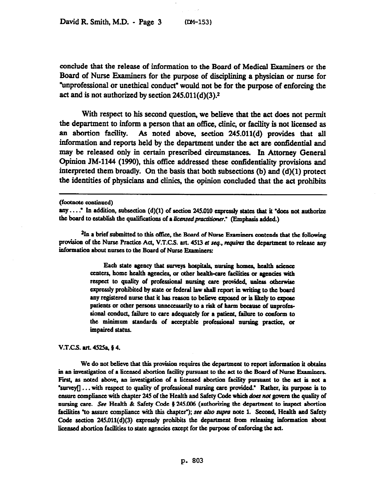conclude that the release of information to the Board of Medical Examiners or the Board of Nurse Examiners for the purpose of disciplining a physician or nurse for "unprofessional or unethical conduct" would not be for the purpose of enforcing the act and is not authorized by section 245.011(d)(3).2

With respect to his second question, we believe that the act does not permit the department to inform a person that an office, clinic, or facility is not licensed as an abortion facility. As noted above, section 245.011(d) provides that all information and reports held by the department under the act are confidential and may be released only in certain prescribed circumstances. In Attorney General Opinion JM-1144 (1990), this office addressed these confidentiality provisions and interpreted them broadly. On the basis that both subsections  $(b)$  and  $(d)(1)$  protect the identities of physicians and clinics, the opinion concluded that the act prohibits

<sup>2</sup>In a brief submitted to this office, the Board of Nurse Examiners contends that the following provision of the Nurse Practice Act, V.T.C.S. art. 4513 et seq., requires the department to release any information about nurses to the Board of Nurse Examiners:

> Each state agency that surveys hospitals, nursing homes, health science centers, home health agencies, or other health-care facilities or agencies with respect to quality of professional nursing care provided, unless otherwise expressly prohibited by state or federal law shall report in writing to the board any registered nurse that it has reason to believe exposed or is likely to expose patients or other persons unnecessarily to a risk of harm because of unprofessional conduct, failure to care adequately for a patient, failure to conform to the minimum standards of acceptable professional nursing practice, or impaired status.

V.T.C.S. art. 4525a, § 4.

We do not believe that this provision requires the department to report information it obtains in an investigation of a licensed abortion facility pursuant to the act to the Board of Nurse Examiners. First, as noted above, an investigation of a licensed abortion facility pursuant to the act is not a "survey[] . . . with respect to quality of professional nursing care provided." Rather, its purpose is to ensure compliance with chapter 245 of the Health and Safety Code which *does not govern* the quality of nursing care. See Health & Safety Code § 245.006 (authorizing the department to inspect abortion facilities "to assure compliance with this chapter"); see also supra note 1. Second, Health and Safety Code section 245.011(d)(3) expressly prohibits the department from releasing information about licensed abortion facilities to state agencies except for the purpose of enforcing the act.

**<sup>(</sup>foc4notc wntinued)** 

**any....** In addition, subsection (d)(1) of section 245.010 expressly states that it "does not authorize the board to establish the qualifications of a *licensed practitioner*." (Emphasis added.)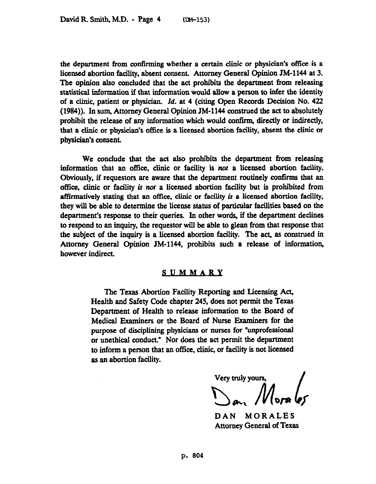the department from confitming whether a certain clinic or physician's office is a licensed abortion facility, absent consent. Attorney General Opinion JM-1144 at 3. The opinion also concluded that the act prohibits the department from releasing statistical information if that information would allow a person to infer the identity of a clinic, patient or physician. *Id.* at 4 (citing Open Records Decision No. 422 (1984)). In sum, Attorney General Opinion JM-1144 construed the act to absolutely prohibit the release of any information which would confirm, directly or indirectly, that a clinic or physician's office is a licensed abortion facility, absent the clinic or physician% consent.

We conclude that the act also prohibits the department from releasing information that an office, clinic or facility is nor a licensed abortion facility. Obviously, if requesters are aware that the department routinely confirms that an office, clinic or facility is nor a licensed abortion facility but is prohibited from affirmatively stating that an office, clinic or facility is a licensed abortion facility, they will be able to determine the license status of particular facilities based on the department's response to their queries. In other words, if the department declines to respond to an inquiry, the requestor will be able to glean from that response that the subject of the inquiry is a licensed abortion facility. The act, as construed in Attorney General Opinion JM-1144, prohibits such a release of information, however indirect.

## **SUMMARY**

The Texas Abortion Facility Reporting and Licensing Act, Health and Safety Code chapter 245, does not permit the Texas Department of Health to release information to the Board of Medical Examiners or the Board of Nurse Examiners for the purpose of disciplining physicians or nurses for "unprofessional or unethical conduct." Nor does the act pemrit the department to inform a person that an office, clinic, or facility is not licensed as an abortion facility.

Very truly yours,

DAN MORALES Attorney General of Texas